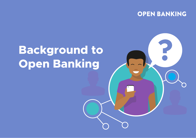## **OPEN BANKING**

R

## **Background to Open Banking**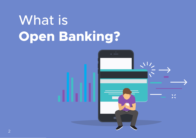## What is **Open Banking?**

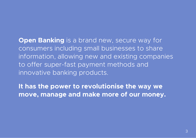**Open Banking** is a brand new, secure way for consumers including small businesses to share information, allowing new and existing companies to offer super-fast payment methods and innovative banking products.

**It has the power to revolutionise the way we move, manage and make more of our money.**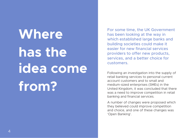# **Where has the idea come from?**

For some time, the UK Government has been looking at the way in which established large banks and building societies could make it easier for new financial services providers to offer new products, services, and a better choice for customers.

Following an investigation into the supply of retail banking services to personal current account customers and to small and medium-sized enterprises (SMEs) in the United Kingdom, it was concluded that there was a need to improve competition in retail banking and financial services.

A number of changes were proposed which they believed could improve competition and choice, and one of these changes was 'Open Banking'.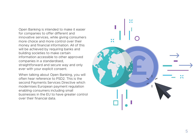Open Banking is intended to make it easier for companies to offer different and innovative services, while giving consumers more choice and more control over their money and financial information. All of this will be achieved by requiring banks and building societies to make certain information accessible to other approved companies in a standardised, straightforward and secure way and only ever with your explicit consent.

When talking about Open Banking, you will often hear reference to PSD2. This is the second Payments Services Directive which modernises European payment regulation enabling consumers including small businesses in the EU to have greater control over their financial data.

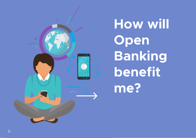

**H o w w i l l Open B a n k i n g benefit m e ?**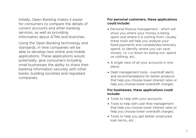Initially, Open Banking makes it easier for consumers to compare the details of current accounts and other banking services, as well as providing information about ATMs and branches.

Using the Open Banking technology and standards, in time companies will be able to develop new online and mobile applications. These applications would, potentially, give consumers including small businesses the ability to share their banking information securely with other banks, building societies and regulated companies.

#### **For personal customers, these applications could include:**

- Personal finance management which will show you where your money is being spent and where it is coming from. Usually these tools will help you analyse your fixed payments and variable/discretionary spend, to identify where you can save money, i.e. cut down on eating out, spend on clothing, etc;
- A single view of all your accounts in one place;
- Debt management tools overdraft alerts and recommendations for better products that help you choose lower interest rates or help you choose lower overdraft charges.

#### **For businesses, these applications could include:**

- Tools to help with your accounts;
- Tools to help with cash flow management that help you choose lower interest rates or help you choose lower overdraft charges;
- Tools to help you get better unsecured loan terms, etc.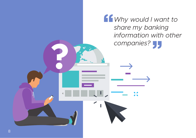*Why would I want to share my banking information with other companies?*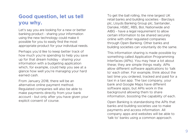### **Good question, let us tell you why.**

Let's say you are looking for a new or better banking product - sharing your information using the new technology could make it possible for you to easily find the most appropriate product for your individual needs.

Perhaps you'd like to keep better track of how much you're spending to help you save up for that dream holiday - sharing your information with a budgeting application which, for example, could help you see at a glance how well you're managing your hard earned cash.

From January 2018, there will be an alternative online payment method. Regulated companies will also be able to make payments directly from your bank account - but only after you have given your explicit consent of course.

To get the ball rolling, the nine largest UK retail banks and building societies - Barclays plc, Lloyds Banking Group plc, Santander, Danske, HSBC, RBS, BoI, Nationwide and AIBG - have a legal requirement to allow certain information to be shared securely online with other regulated companies through Open Banking. Other banks and building societies can voluntarily do the same.

This information sharing is made possible by something called Application Programming Interfaces (APIs). You may hear a lot about these; they are simple things really. APIs allow different software applications to 'talk to' each other. For example, think about the last time you ordered, tracked and paid for a taxi in a taxi app. The taxi company, your bank and Google Maps have different software apps, but APIs work in the background allowing them to share information, boosting the capability of each.

Open Banking is standardising the APIs that banks and building societies use to make payments and access information. All company apps and websites will be able to 'talk to' banks using a common approach.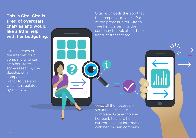**This is Gita. Gita is tired of overdraft charges and would like a little help with her budgeting.**

Gita searches on the internet for a company who can help her. After some research, she decides on a company she wants to use and which is regulated by the FCA.

Gita downloads the app that the company provides. Part of the process is for Gita to give her consent for the company to look at her bank account transactions.

Once all the necessary security checks are complete, Gita authorises her bank to share her current account information with her chosen company.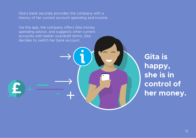Gita's bank securely provides the company with a history of her current account spending and income.

Via the app, the company offers Gita money spending advice, and suggests other current accounts with better overdraft terms. Gita decides to switch her bank account.

> **Gita is happy, she is in control of her money.**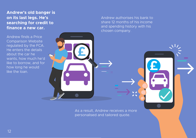### **Andrew's old banger is on its last legs. He's searching for credit to finance a new car.**

Andrew finds a Price Comparison Website regulated by the FCA. He enters the details about the car he wants, how much he'd like to borrow, and for how long he would like the loan.

Andrew authorises his bank to share 12 months of his income and spending history with his chosen company.

As a result, Andrew receives a more personalised and tailored quote.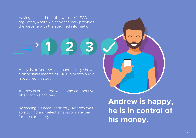Having checked that the website is FCA regulated, Andrew's bank securely provides the website with the specified information.

**1 2 3**

Analysis of Andrew's account history shows a disposable income of £400 a month and a good credit history.

Andrew is presented with some competitive offers for his car loan.

By sharing his account history, Andrew was able to find and select an appropriate loan for the car quickly.

**Andrew is happy, he is in control of his money.**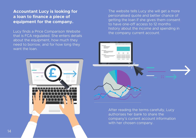### **Accountant Lucy is looking for a loan to finance a piece of equipment for the company.**

Lucy finds a Price Comparison Website that is FCA regulated. She enters details about the equipment, how much they need to borrow, and for how long they want the loan.



The website tells Lucy she will get a more personalised quote and better chance of getting the loan if she gives them consent to have one-off access to 12 months history about the income and spending in the company current account.



After reading the terms carefully, Lucy authorises her bank to share the company's current account information with her chosen company.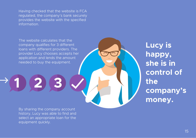Having checked that the website is FCA regulated, the company's bank securely provides the website with the specified information.

The website calculates that the company qualifies for 3 different loans with different providers. The provider Lucy chooses accepts her application and lends the amount needed to buy the equipment.

**3**

**L u c y i s** happy, **s h e i s i n c o n t r o l o f t h e c o m p a n y ' s** money.

By sharing the company account history, Lucy was able to find and select an appropriate loan for the equipment quickly.

**2**

**1**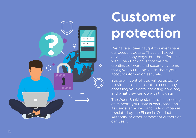

## **C u s t o m e r p r o t e c t i o n**

We have all been taught to never share our account details. That's still good advice in many ways, but the difference with Open Banking is that we are creating software and security systems that give you the option to share your account information securely.

You are in control: you will be asked to provide explicit consent to a company accessing your data, choosing how long and what they can do with this data.

The Open Banking standard has security at its heart: your data is encrypted and its usage is tracked, and only companies regulated by the Financial Conduct Authority or other competent authorities can use it.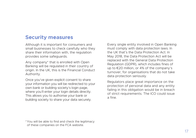### **Security measures**

Although it is important for consumers and small businesses to check carefully who they share their information with, the regulation provides some safeguards.

Any company\* that is enrolled with Open Banking will be regulated in their country of origin. In the UK, this is the Financial Conduct Authority.

Once you've given explicit consent to share your information you will be redirected to your own bank or building society's login page, where you'll enter your login details directly. This allows you to authorise your bank or building society to share your data securely.

Every single entity involved in Open Banking must comply with data protection laws. In the UK that's the Data Protection Act. In May 2018, the Data Protection Act will be replaced with the General Data Protection Regulation (GDPR), which includes fines of up to €20 million, or 4% of the company's turnover, for organisations that do not take data protection seriously.

Regulators place great importance on the protection of personal data and any entity failing in this obligation would be in breach of strict requirements. The ICO could issue a fine.

\*You will be able to find and check the legitimacy of these companies on the FCA website.